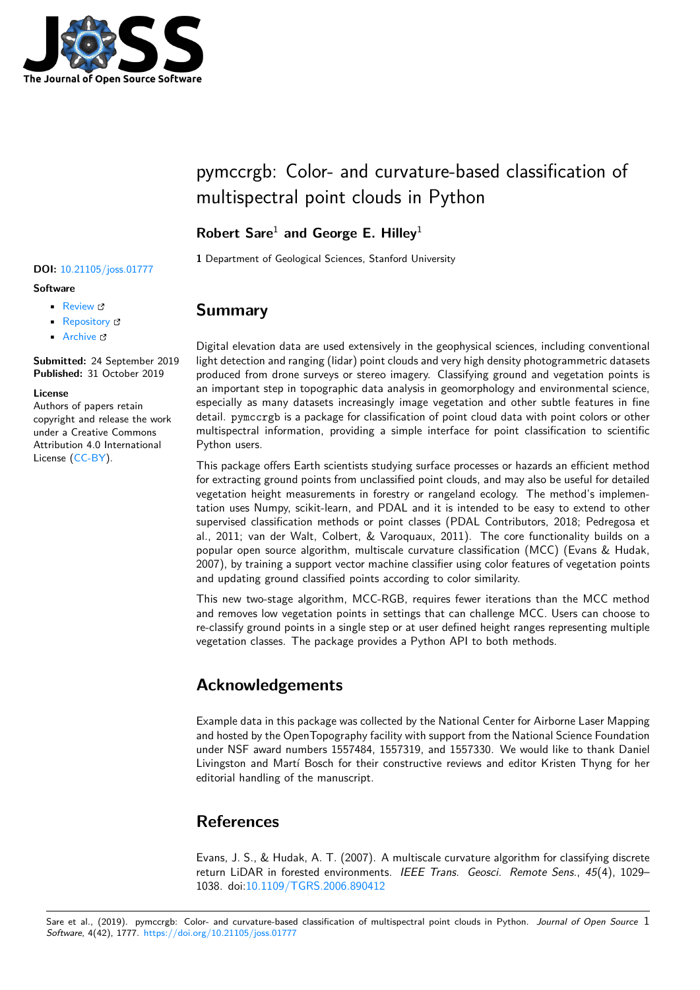

# pymccrgb: Color- and curvature-based classification of multispectral point clouds in Python

## **Robert Sare**<sup>1</sup> **and George E. Hilley**<sup>1</sup>

**1** Department of Geological Sciences, Stanford University

• Review & • [Repository](https://doi.org/10.21105/joss.01777) &

**DOI:** 10.21105/joss.01777

• Archive

**Subm[itted:](https://github.com/openjournals/joss-reviews/issues/1777)** 24 September 2019 **Published:** [31 Oc](https://github.com/rmsare/pymccrgb)tober 2019

### **Licen[se](https://doi.org/10.5281/zenodo.3519582)**

**Software**

Authors of papers retain copyright and release the work under a Creative Commons Attribution 4.0 International License (CC-BY).

## **Summary**

Digital elevation data are used extensively in the geophysical sciences, including conventional light detection and ranging (lidar) point clouds and very high density photogrammetric datasets produced from drone surveys or stereo imagery. Classifying ground and vegetation points is an important step in topographic data analysis in geomorphology and environmental science, especially as many datasets increasingly image vegetation and other subtle features in fine detail. pymccrgb is a package for classification of point cloud data with point colors or other multispectral information, providing a simple interface for point classification to scientific Python users.

This package offers Earth scientists studying surface processes or hazards an efficient method for extracting ground points from unclassified point clouds, and may also be useful for detailed vegetation height measurements in forestry or rangeland ecology. The method's implementation uses Numpy, scikit-learn, and PDAL and it is intended to be easy to extend to other supervised classification methods or point classes (PDAL Contributors, 2018; Pedregosa et al., 2011; van der Walt, Colbert, & Varoquaux, 2011). The core functionality builds on a popular open source algorithm, multiscale curvature classification (MCC) (Evans & Hudak, 2007), by training a support vector machine classifier using color features of vegetation points and updating ground classified points according to color similarity.

This new two-stage algorithm, MCC-RGB, requires fewer iterations than the MCC method and removes low vegetation points in settings that can challenge MCC. Users can choose to re-classify ground points in a single step or at user defined height ranges representing multiple vegetation classes. The package provides a Python API to both methods.

## **Acknowledgements**

Example data in this package was collected by the National Center for Airborne Laser Mapping and hosted by the OpenTopography facility with support from the National Science Foundation under NSF award numbers 1557484, 1557319, and 1557330. We would like to thank Daniel Livingston and Martí Bosch for their constructive reviews and editor Kristen Thyng for her editorial handling of the manuscript.

## **References**

Evans, J. S., & Hudak, A. T. (2007). A multiscale curvature algorithm for classifying discrete return LiDAR in forested environments. *IEEE Trans. Geosci. Remote Sens.*, *45*(4), 1029– 1038. doi:10.1109/TGRS.2006.890412